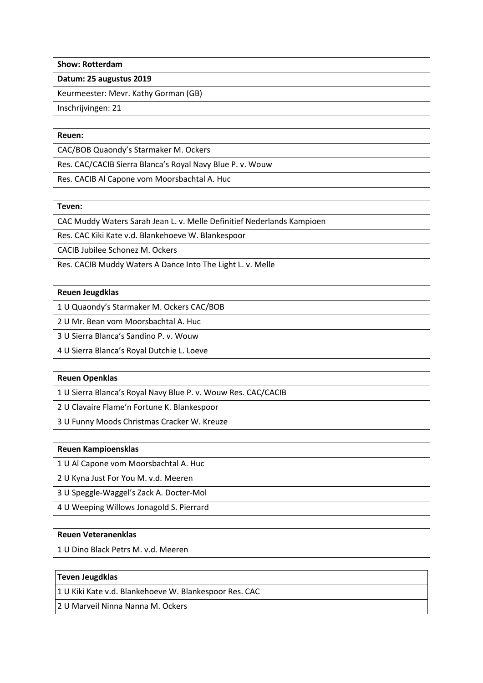**Show: Rotterdam**

**Datum: 25 augustus 2019**

Keurmeester: Mevr. Kathy Gorman (GB)

Inschrijvingen: 21

#### **Reuen:**

CAC/BOB Quaondy's Starmaker M. Ockers

Res. CAC/CACIB Sierra Blanca's Royal Navy Blue P. v. Wouw

Res. CACIB Al Capone vom Moorsbachtal A. Huc

# **Teven:**

CAC Muddy Waters Sarah Jean L. v. Melle Definitief Nederlands Kampioen

Res. CAC Kiki Kate v.d. Blankehoeve W. Blankespoor

CACIB Jubilee Schonez M. Ockers

Res. CACIB Muddy Waters A Dance Into The Light L. v. Melle

# **Reuen Jeugdklas**

1 U Quaondy's Starmaker M. Ockers CAC/BOB

2 U Mr. Bean vom Moorsbachtal A. Huc

3 U Sierra Blanca's Sandino P. v. Wouw

4 U Sierra Blanca's Royal Dutchie L. Loeve

# **Reuen Openklas**

1 U Sierra Blanca's Royal Navy Blue P. v. Wouw Res. CAC/CACIB

2 U Clavaire Flame'n Fortune K. Blankespoor

3 U Funny Moods Christmas Cracker W. Kreuze

#### **Reuen Kampioensklas**

1 U Al Capone vom Moorsbachtal A. Huc

2 U Kyna Just For You M. v.d. Meeren

3 U Speggle-Waggel's Zack A. Docter-Mol

4 U Weeping Willows Jonagold S. Pierrard

# **Reuen Veteranenklas**

1 U Dino Black Petrs M. v.d. Meeren

# **Teven Jeugdklas**

1 U Kiki Kate v.d. Blankehoeve W. Blankespoor Res. CAC

2 U Marveil Ninna Nanna M. Ockers